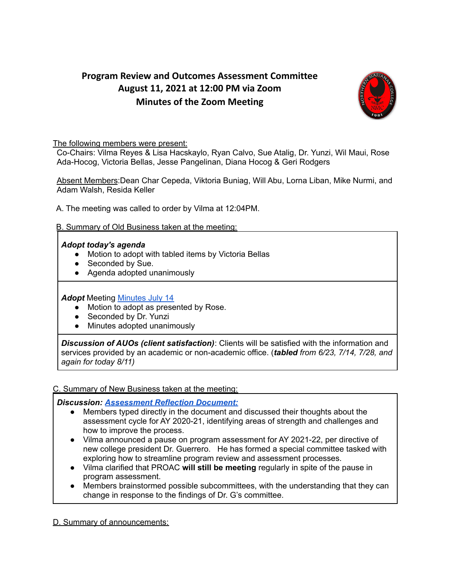# **Program Review and Outcomes Assessment Committee August 11, 2021 at 12:00 PM via Zoom Minutes of the Zoom Meeting**



The following members were present:

Co-Chairs: Vilma Reyes & Lisa Hacskaylo, Ryan Calvo, Sue Atalig, Dr. Yunzi, Wil Maui, Rose Ada-Hocog, Victoria Bellas, Jesse Pangelinan, Diana Hocog & Geri Rodgers

Absent Members:Dean Char Cepeda, Viktoria Buniag, Will Abu, Lorna Liban, Mike Nurmi, and Adam Walsh, Resida Keller

A. The meeting was called to order by Vilma at 12:04PM.

## B. Summary of Old Business taken at the meeting:

### *Adopt today's agenda*

- Motion to adopt with tabled items by Victoria Bellas
- Seconded by Sue.
- Agenda adopted unanimously

### **Adopt** Meeting **[Minutes](https://docs.google.com/document/u/0/d/1T4qF6JNo1Sj_LfSjYziDCvoeHwgytvIp7h9WxE8pxEI/edit) July 14**

- Motion to adopt as presented by Rose.
- Seconded by Dr. Yunzi
- Minutes adopted unanimously

*Discussion of AUOs (client satisfaction)*: Clients will be satisfied with the information and services provided by an academic or non-academic office. (*tabled from 6/23, 7/14, 7/28, and again for today 8/11)*

### C. Summary of New Business taken at the meeting:

### *Discussion: [Assessment](https://docs.google.com/document/d/17U1uKV9XMVGVEEN8qzEmFhsao4kG3Xz0KOc9jXcWvnU/edit) Reflection Document:*

- Members typed directly in the document and discussed their thoughts about the assessment cycle for AY 2020-21, identifying areas of strength and challenges and how to improve the process.
- Vilma announced a pause on program assessment for AY 2021-22, per directive of new college president Dr. Guerrero. He has formed a special committee tasked with exploring how to streamline program review and assessment processes.
- Vilma clarified that PROAC **will still be meeting** regularly in spite of the pause in program assessment.
- Members brainstormed possible subcommittees, with the understanding that they can change in response to the findings of Dr. G's committee.

D. Summary of announcements: